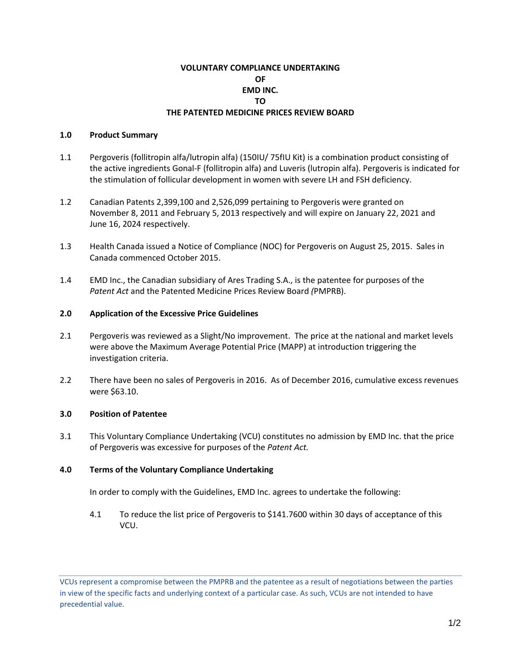# **VOLUNTARY COMPLIANCE UNDERTAKING OF EMD INC. TO THE PATENTED MEDICINE PRICES REVIEW BOARD**

### **1.0 Product Summary**

- 1.1 Pergoveris (follitropin alfa/lutropin alfa) (150IU/ 75fIU Kit) is a combination product consisting of the active ingredients Gonal-F (follitropin alfa) and Luveris (lutropin alfa). Pergoveris is indicated for the stimulation of follicular development in women with severe LH and FSH deficiency.
- 1.2 Canadian Patents 2,399,100 and 2,526,099 pertaining to Pergoveris were granted on November 8, 2011 and February 5, 2013 respectively and will expire on January 22, 2021 and June 16, 2024 respectively.
- 1.3 Health Canada issued a Notice of Compliance (NOC) for Pergoveris on August 25, 2015. Sales in Canada commenced October 2015.
- 1.4 EMD Inc., the Canadian subsidiary of Ares Trading S.A., is the patentee for purposes of the *Patent Act* and the Patented Medicine Prices Review Board *(*PMPRB).

#### **2.0 Application of the Excessive Price Guidelines**

- 2.1 Pergoveris was reviewed as a Slight/No improvement. The price at the national and market levels were above the Maximum Average Potential Price (MAPP) at introduction triggering the investigation criteria.
- 2.2 There have been no sales of Pergoveris in 2016. As of December 2016, cumulative excess revenues were \$63.10.

## **3.0 Position of Patentee**

3.1 This Voluntary Compliance Undertaking (VCU) constitutes no admission by EMD Inc. that the price of Pergoveris was excessive for purposes of the *Patent Act.* 

#### **4.0 Terms of the Voluntary Compliance Undertaking**

In order to comply with the Guidelines, EMD Inc. agrees to undertake the following:

4.1 To reduce the list price of Pergoveris to \$141.7600 within 30 days of acceptance of this VCU.

VCUs represent a compromise between the PMPRB and the patentee as a result of negotiations between the parties in view of the specific facts and underlying context of a particular case. As such, VCUs are not intended to have precedential value.